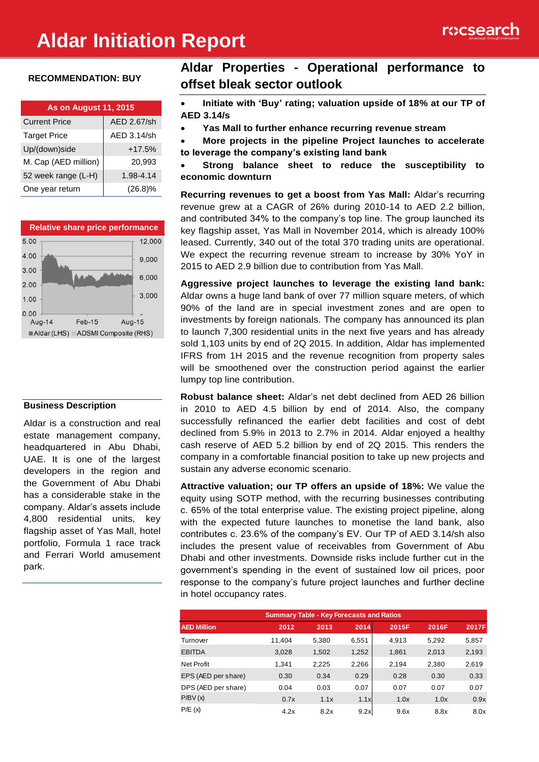# **Aldar Initiation Report**



#### **RECOMMENDATION: BUY**

| <b>As on August 11, 2015</b> |             |  |  |  |
|------------------------------|-------------|--|--|--|
| <b>Current Price</b>         | AED 2.67/sh |  |  |  |
| <b>Target Price</b>          | AED 3.14/sh |  |  |  |
| Up/(down)side                | $+17.5%$    |  |  |  |
| M. Cap (AED million)         | 20,993      |  |  |  |
| 52 week range (L-H)          | 1.98-4.14   |  |  |  |
| One year return              | $(26.8)\%$  |  |  |  |



#### **Business Description**

Aldar is a construction and real estate management company, headquartered in Abu Dhabi, UAE. It is one of the largest developers in the region and the Government of Abu Dhabi has a considerable stake in the company. Aldar's assets include 4,800 residential units, key flagship asset of Yas Mall, hotel portfolio, Formula 1 race track and Ferrari World amusement park.

# **Aldar Properties - Operational performance to offset bleak sector outlook**

- **Initiate with 'Buy' rating; valuation upside of 18% at our TP of AED 3.14/s**
- **Yas Mall to further enhance recurring revenue stream**
- **More projects in the pipeline Project launches to accelerate to leverage the company's existing land bank**
- **Strong balance sheet to reduce the susceptibility to economic downturn**

**Recurring revenues to get a boost from Yas Mall:** Aldar's recurring revenue grew at a CAGR of 26% during 2010-14 to AED 2.2 billion, and contributed 34% to the company's top line. The group launched its key flagship asset, Yas Mall in November 2014, which is already 100% leased. Currently, 340 out of the total 370 trading units are operational. We expect the recurring revenue stream to increase by 30% YoY in 2015 to AED 2.9 billion due to contribution from Yas Mall.

**Aggressive project launches to leverage the existing land bank:**  Aldar owns a huge land bank of over 77 million square meters, of which 90% of the land are in special investment zones and are open to investments by foreign nationals. The company has announced its plan to launch 7,300 residential units in the next five years and has already sold 1,103 units by end of 2Q 2015. In addition, Aldar has implemented IFRS from 1H 2015 and the revenue recognition from property sales will be smoothened over the construction period against the earlier lumpy top line contribution.

**Robust balance sheet:** Aldar's net debt declined from AED 26 billion in 2010 to AED 4.5 billion by end of 2014. Also, the company successfully refinanced the earlier debt facilities and cost of debt declined from 5.9% in 2013 to 2.7% in 2014. Aldar enjoyed a healthy cash reserve of AED 5.2 billion by end of 2Q 2015. This renders the company in a comfortable financial position to take up new projects and sustain any adverse economic scenario.

**Attractive valuation; our TP offers an upside of 18%:** We value the equity using SOTP method, with the recurring businesses contributing c. 65% of the total enterprise value. The existing project pipeline, along with the expected future launches to monetise the land bank, also contributes c. 23.6% of the company's EV. Our TP of AED 3.14/sh also includes the present value of receivables from Government of Abu Dhabi and other investments. Downside risks include further cut in the government's spending in the event of sustained low oil prices, poor response to the company's future project launches and further decline in hotel occupancy rates.

| <b>Summary Table - Key Forecasts and Ratios</b> |        |       |       |       |       |       |
|-------------------------------------------------|--------|-------|-------|-------|-------|-------|
| <b>AED Million</b>                              | 2012   | 2013  | 2014  | 2015F | 2016F | 2017F |
| Turnover                                        | 11,404 | 5,380 | 6,551 | 4,913 | 5,292 | 5,857 |
| <b>EBITDA</b>                                   | 3,028  | 1,502 | 1,252 | 1,861 | 2,013 | 2,193 |
| Net Profit                                      | 1.341  | 2,225 | 2,266 | 2,194 | 2,380 | 2,619 |
| EPS (AED per share)                             | 0.30   | 0.34  | 0.29  | 0.28  | 0.30  | 0.33  |
| DPS (AED per share)                             | 0.04   | 0.03  | 0.07  | 0.07  | 0.07  | 0.07  |
| P/BV(x)                                         | 0.7x   | 1.1x  | 1.1x  | 1.0x  | 1.0x  | 0.9x  |
| P/E(x)                                          | 4.2x   | 8.2x  | 9.2x  | 9.6x  | 8.8x  | 8.0x  |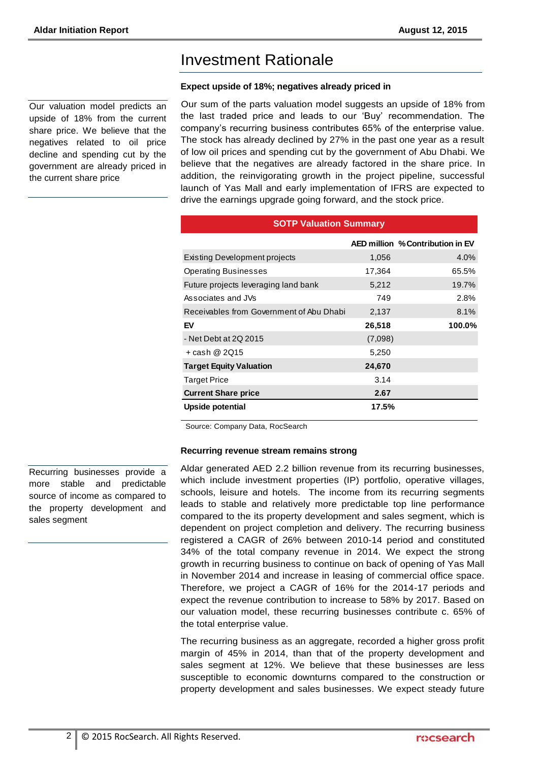Our valuation model predicts an upside of 18% from the current share price. We believe that the negatives related to oil price decline and spending cut by the government are already priced in the current share price

# Investment Rationale

#### **Expect upside of 18%; negatives already priced in**

Our sum of the parts valuation model suggests an upside of 18% from the last traded price and leads to our 'Buy' recommendation. The company's recurring business contributes 65% of the enterprise value. The stock has already declined by 27% in the past one year as a result of low oil prices and spending cut by the government of Abu Dhabi. We believe that the negatives are already factored in the share price. In addition, the reinvigorating growth in the project pipeline, successful launch of Yas Mall and early implementation of IFRS are expected to drive the earnings upgrade going forward, and the stock price.

**SOTP Valuation Summary** 

|                                          |         | AED million % Contribution in EV |
|------------------------------------------|---------|----------------------------------|
| Existing Development projects            | 1,056   | 4.0%                             |
| <b>Operating Businesses</b>              | 17,364  | 65.5%                            |
| Future projects leveraging land bank     | 5,212   | 19.7%                            |
| Associates and JVs                       | 749     | 2.8%                             |
| Receivables from Government of Abu Dhabi | 2,137   | 8.1%                             |
| EV                                       | 26,518  | 100.0%                           |
| - Net Debt at 2Q 2015                    | (7,098) |                                  |
| + cash @ 2Q15                            | 5,250   |                                  |
| <b>Target Equity Valuation</b>           | 24,670  |                                  |
| <b>Target Price</b>                      | 3.14    |                                  |
| <b>Current Share price</b>               | 2.67    |                                  |
| Upside potential                         | 17.5%   |                                  |

Source: Company Data, RocSearch

#### **Recurring revenue stream remains strong**

Aldar generated AED 2.2 billion revenue from its recurring businesses, which include investment properties (IP) portfolio, operative villages, schools, leisure and hotels. The income from its recurring segments leads to stable and relatively more predictable top line performance compared to the its property development and sales segment, which is dependent on project completion and delivery. The recurring business registered a CAGR of 26% between 2010-14 period and constituted 34% of the total company revenue in 2014. We expect the strong growth in recurring business to continue on back of opening of Yas Mall in November 2014 and increase in leasing of commercial office space. Therefore, we project a CAGR of 16% for the 2014-17 periods and expect the revenue contribution to increase to 58% by 2017. Based on our valuation model, these recurring businesses contribute c. 65% of the total enterprise value.

The recurring business as an aggregate, recorded a higher gross profit margin of 45% in 2014, than that of the property development and sales segment at 12%. We believe that these businesses are less susceptible to economic downturns compared to the construction or property development and sales businesses. We expect steady future

Recurring businesses provide a more stable and predictable source of income as compared to the property development and sales segment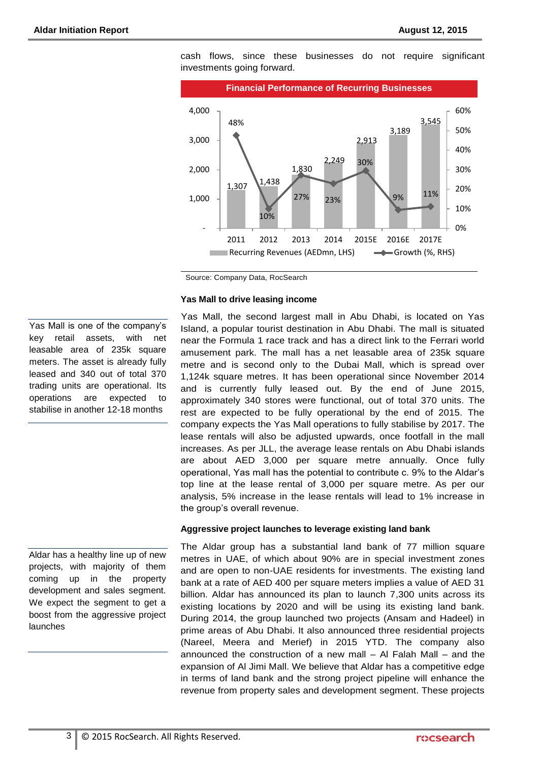

cash flows, since these businesses do not require significant investments going forward.

#### **Yas Mall to drive leasing income**

Yas Mall, the second largest mall in Abu Dhabi, is located on Yas Island, a popular tourist destination in Abu Dhabi. The mall is situated near the Formula 1 race track and has a direct link to the Ferrari world amusement park. The mall has a net leasable area of 235k square metre and is second only to the Dubai Mall, which is spread over 1,124k square metres. It has been operational since November 2014 and is currently fully leased out. By the end of June 2015, approximately 340 stores were functional, out of total 370 units. The rest are expected to be fully operational by the end of 2015. The company expects the Yas Mall operations to fully stabilise by 2017. The lease rentals will also be adjusted upwards, once footfall in the mall increases. As per JLL, the average lease rentals on Abu Dhabi islands are about AED 3,000 per square metre annually. Once fully operational, Yas mall has the potential to contribute c. 9% to the Aldar's top line at the lease rental of 3,000 per square metre. As per our analysis, 5% increase in the lease rentals will lead to 1% increase in the group's overall revenue.

#### **Aggressive project launches to leverage existing land bank**

The Aldar group has a substantial land bank of 77 million square metres in UAE, of which about 90% are in special investment zones and are open to non-UAE residents for investments. The existing land bank at a rate of AED 400 per square meters implies a value of AED 31 billion. Aldar has announced its plan to launch 7,300 units across its existing locations by 2020 and will be using its existing land bank. During 2014, the group launched two projects (Ansam and Hadeel) in prime areas of Abu Dhabi. It also announced three residential projects (Nareel, Meera and Merief) in 2015 YTD. The company also announced the construction of a new mall – Al Falah Mall – and the expansion of Al Jimi Mall. We believe that Aldar has a competitive edge in terms of land bank and the strong project pipeline will enhance the revenue from property sales and development segment. These projects

Yas Mall is one of the company's key retail assets, with net leasable area of 235k square meters. The asset is already fully leased and 340 out of total 370 trading units are operational. Its operations are expected to stabilise in another 12-18 months

Aldar has a healthy line up of new projects, with majority of them coming up in the property development and sales segment. We expect the segment to get a boost from the aggressive project launches

Source: Company Data, RocSearch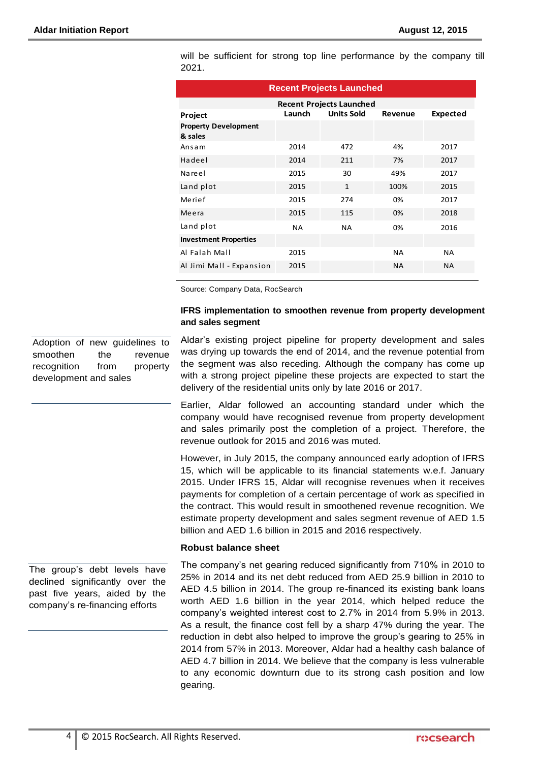| <b>Recent Projects Launched</b>        |                                                    |              |           |           |  |  |
|----------------------------------------|----------------------------------------------------|--------------|-----------|-----------|--|--|
| <b>Recent Projects Launched</b>        |                                                    |              |           |           |  |  |
| Project                                | <b>Units Sold</b><br>Launch<br>Expected<br>Revenue |              |           |           |  |  |
| <b>Property Development</b><br>& sales |                                                    |              |           |           |  |  |
| Ansam                                  | 2014                                               | 472          | 4%        | 2017      |  |  |
| Hadeel                                 | 2014                                               | 211          | 7%        | 2017      |  |  |
| Nareel                                 | 2015                                               | 30           | 49%       | 2017      |  |  |
| Land plot                              | 2015                                               | $\mathbf{1}$ | 100%      | 2015      |  |  |
| Merief                                 | 2015                                               | 274          | 0%        | 2017      |  |  |
| Meera                                  | 2015                                               | 115          | 0%        | 2018      |  |  |
| Land plot                              | <b>NA</b>                                          | <b>NA</b>    | 0%        | 2016      |  |  |
| <b>Investment Properties</b>           |                                                    |              |           |           |  |  |
| Al Falah Mall                          | 2015                                               |              | <b>NA</b> | <b>NA</b> |  |  |
| Al Jimi Mall - Expansion               | 2015                                               |              | <b>NA</b> | NA.       |  |  |

will be sufficient for strong top line performance by the company till 2021.

Source: Company Data, RocSearch

#### **IFRS implementation to smoothen revenue from property development and sales segment**

Aldar's existing project pipeline for property development and sales

Adoption of new guidelines to smoothen the revenue recognition from property development and sales

was drying up towards the end of 2014, and the revenue potential from the segment was also receding. Although the company has come up with a strong project pipeline these projects are expected to start the delivery of the residential units only by late 2016 or 2017.

Earlier, Aldar followed an accounting standard under which the company would have recognised revenue from property development and sales primarily post the completion of a project. Therefore, the revenue outlook for 2015 and 2016 was muted.

However, in July 2015, the company announced early adoption of IFRS 15, which will be applicable to its financial statements w.e.f. January 2015. Under IFRS 15, Aldar will recognise revenues when it receives payments for completion of a certain percentage of work as specified in the contract. This would result in smoothened revenue recognition. We estimate property development and sales segment revenue of AED 1.5 billion and AED 1.6 billion in 2015 and 2016 respectively.

#### **Robust balance sheet**

The company's net gearing reduced significantly from 710% in 2010 to 25% in 2014 and its net debt reduced from AED 25.9 billion in 2010 to AED 4.5 billion in 2014. The group re-financed its existing bank loans worth AED 1.6 billion in the year 2014, which helped reduce the company's weighted interest cost to 2.7% in 2014 from 5.9% in 2013. As a result, the finance cost fell by a sharp 47% during the year. The reduction in debt also helped to improve the group's gearing to 25% in 2014 from 57% in 2013. Moreover, Aldar had a healthy cash balance of AED 4.7 billion in 2014. We believe that the company is less vulnerable to any economic downturn due to its strong cash position and low gearing.

The group's debt levels have declined significantly over the past five years, aided by the company's re-financing efforts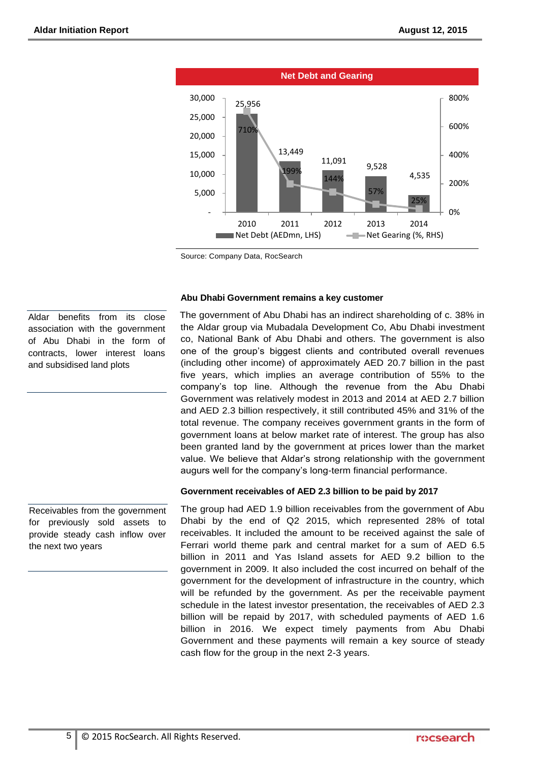

Source: Company Data, RocSearch

#### **Abu Dhabi Government remains a key customer**

The government of Abu Dhabi has an indirect shareholding of c. 38% in the Aldar group via Mubadala Development Co, Abu Dhabi investment co, National Bank of Abu Dhabi and others. The government is also one of the group's biggest clients and contributed overall revenues (including other income) of approximately AED 20.7 billion in the past five years, which implies an average contribution of 55% to the company's top line. Although the revenue from the Abu Dhabi Government was relatively modest in 2013 and 2014 at AED 2.7 billion and AED 2.3 billion respectively, it still contributed 45% and 31% of the total revenue. The company receives government grants in the form of government loans at below market rate of interest. The group has also been granted land by the government at prices lower than the market value. We believe that Aldar's strong relationship with the government augurs well for the company's long-term financial performance.

#### **Government receivables of AED 2.3 billion to be paid by 2017**

The group had AED 1.9 billion receivables from the government of Abu Dhabi by the end of Q2 2015, which represented 28% of total receivables. It included the amount to be received against the sale of Ferrari world theme park and central market for a sum of AED 6.5 billion in 2011 and Yas Island assets for AED 9.2 billion to the government in 2009. It also included the cost incurred on behalf of the government for the development of infrastructure in the country, which will be refunded by the government. As per the receivable payment schedule in the latest investor presentation, the receivables of AED 2.3 billion will be repaid by 2017, with scheduled payments of AED 1.6 billion in 2016. We expect timely payments from Abu Dhabi Government and these payments will remain a key source of steady cash flow for the group in the next 2-3 years.

Aldar benefits from its close association with the government of Abu Dhabi in the form of contracts, lower interest loans and subsidised land plots

Receivables from the government for previously sold assets to provide steady cash inflow over the next two years

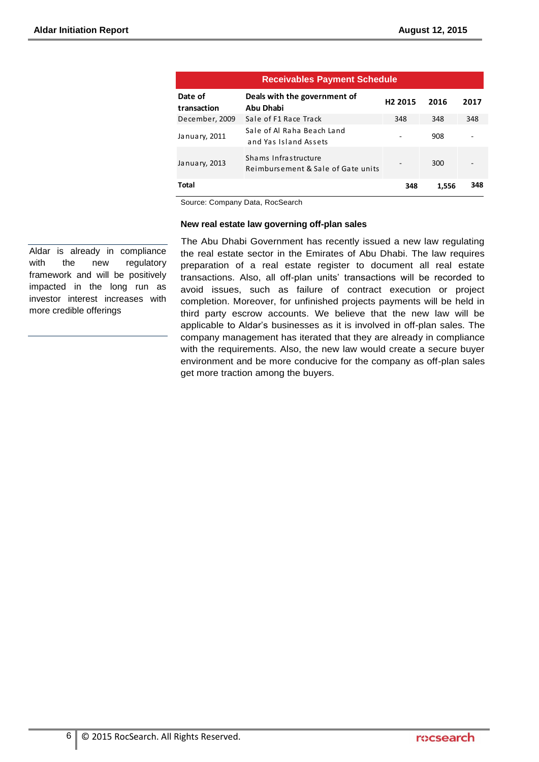| <b>Receivables Payment Schedule</b> |                                                            |                     |       |      |  |
|-------------------------------------|------------------------------------------------------------|---------------------|-------|------|--|
| Date of<br>transaction              | Deals with the government of<br>Abu Dhabi                  | H <sub>2</sub> 2015 | 2016  | 2017 |  |
| December, 2009                      | Sale of F1 Race Track                                      | 348                 | 348   | 348  |  |
| January, 2011                       | Sale of Al Raha Beach Land<br>and Yas Island Assets        |                     | 908   |      |  |
| January, 2013                       | Shams Infrastructure<br>Reimbursement & Sale of Gate units |                     | 300   |      |  |
| <b>Total</b>                        |                                                            | 348                 | 1,556 | 348  |  |

Source: Company Data, RocSearch

#### **New real estate law governing off-plan sales**

Aldar is already in compliance with the new regulatory framework and will be positively impacted in the long run as investor interest increases with more credible offerings

The Abu Dhabi Government has recently issued a new law regulating the real estate sector in the Emirates of Abu Dhabi. The law requires preparation of a real estate register to document all real estate transactions. Also, all off-plan units' transactions will be recorded to avoid issues, such as failure of contract execution or project completion. Moreover, for unfinished projects payments will be held in third party escrow accounts. We believe that the new law will be applicable to Aldar's businesses as it is involved in off-plan sales. The company management has iterated that they are already in compliance with the requirements. Also, the new law would create a secure buyer environment and be more conducive for the company as off-plan sales get more traction among the buyers.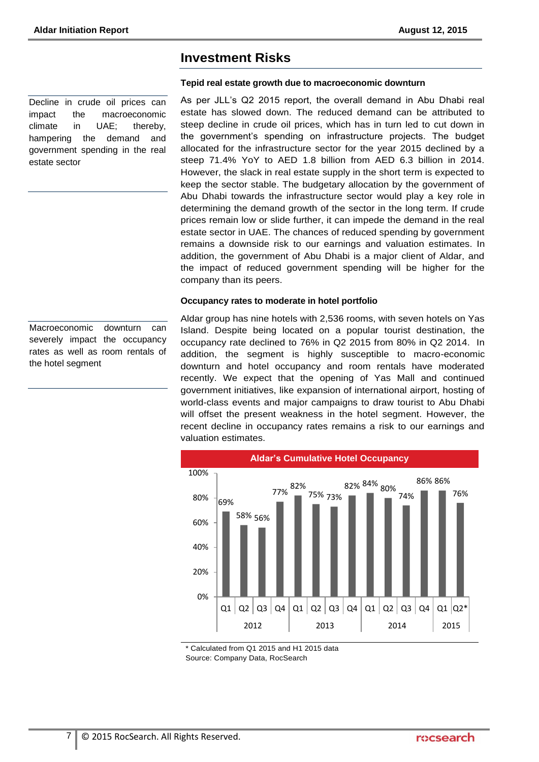Decline in crude oil prices can impact the macroeconomic climate in UAE; thereby, hampering the demand and government spending in the real estate sector

### Macroeconomic downturn can severely impact the occupancy rates as well as room rentals of the hotel segment

## **Investment Risks**

#### **Tepid real estate growth due to macroeconomic downturn**

As per JLL's Q2 2015 report, the overall demand in Abu Dhabi real estate has slowed down. The reduced demand can be attributed to steep decline in crude oil prices, which has in turn led to cut down in the government's spending on infrastructure projects. The budget allocated for the infrastructure sector for the year 2015 declined by a steep 71.4% YoY to AED 1.8 billion from AED 6.3 billion in 2014. However, the slack in real estate supply in the short term is expected to keep the sector stable. The budgetary allocation by the government of Abu Dhabi towards the infrastructure sector would play a key role in determining the demand growth of the sector in the long term. If crude prices remain low or slide further, it can impede the demand in the real estate sector in UAE. The chances of reduced spending by government remains a downside risk to our earnings and valuation estimates. In addition, the government of Abu Dhabi is a major client of Aldar, and the impact of reduced government spending will be higher for the company than its peers.

#### **Occupancy rates to moderate in hotel portfolio**

Aldar group has nine hotels with 2,536 rooms, with seven hotels on Yas Island. Despite being located on a popular tourist destination, the occupancy rate declined to 76% in Q2 2015 from 80% in Q2 2014. In addition, the segment is highly susceptible to macro-economic downturn and hotel occupancy and room rentals have moderated recently. We expect that the opening of Yas Mall and continued government initiatives, like expansion of international airport, hosting of world-class events and major campaigns to draw tourist to Abu Dhabi will offset the present weakness in the hotel segment. However, the recent decline in occupancy rates remains a risk to our earnings and valuation estimates.



\* Calculated from Q1 2015 and H1 2015 data Source: Company Data, RocSearch